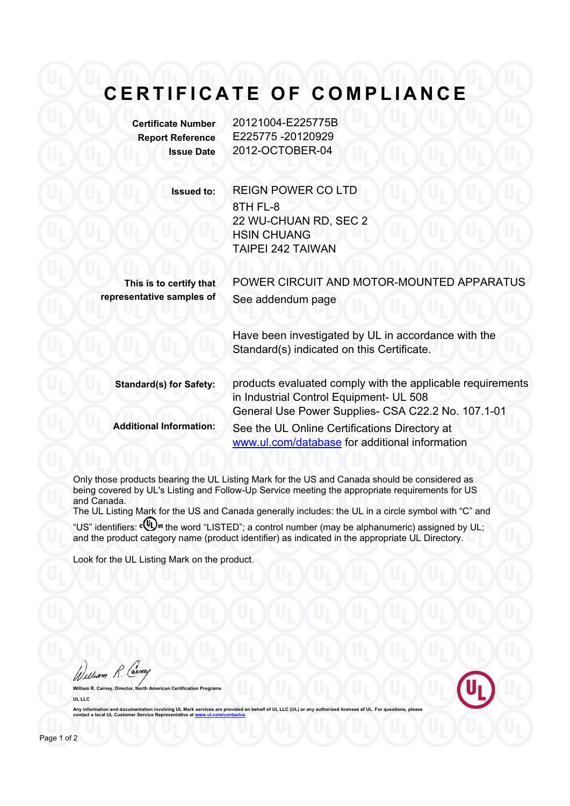## **CERTIFICATE OF COMPLIANCE**

**Certificate Number** 20121004-E225775B **Report Reference** E225775 -20120929 **Issue Date** 2012-OCTOBER-04

> **Issued to:** REIGN POWER CO LTD 8TH FL-8 22 WU-CHUAN RD, SEC 2 HSIN CHUANG TAIPEI 242 TAIWAN

**This is to certify that representative samples of**

POWER CIRCUIT AND MOTOR-MOUNTED APPARATUS See addendum page

Have been investigated by UL in accordance with the Standard(s) indicated on this Certificate.

**Standard(s) for Safety:** products evaluated comply with the applicable requirements in Industrial Control Equipment- UL 508 General Use Power Supplies- CSA C22.2 No. 107.1-01 **Additional Information:** See the UL Online Certifications Directory at www.ul.com/database for additional information

Only those products bearing the UL Listing Mark for the US and Canada should be considered as being covered by UL's Listing and Follow-Up Service meeting the appropriate requirements for US and Canada.

The UL Listing Mark for the US and Canada generally includes: the UL in a circle symbol with "C" and "US" identifiers:  $\mathbf{W}$ <sup>s</sup> the word "LISTED"; a control number (may be alphanumeric) assigned by UL; and the product category name (product identifier) as indicated in the appropriate UL Directory.

Look for the UL Listing Mark on the product.

William R. Car **William R. Carney, Director, North American Certification Programs**

**UL LLC** Any information and documentation involving UL Mark services are provided on behalf of UL LLC (UL) or **cantabilism** Customer Service Representative at local UL Customer Service Represent